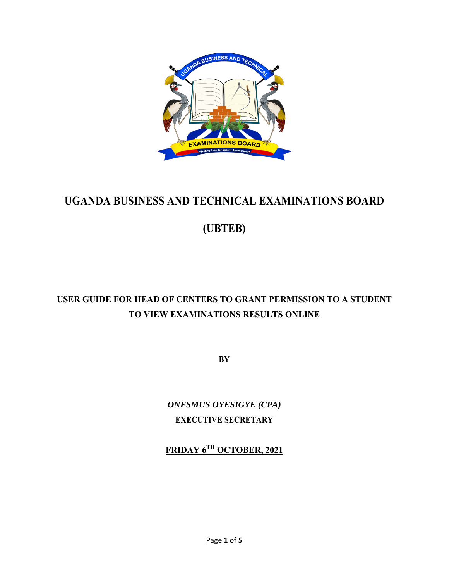

# **UGANDA BUSINESS AND TECHNICAL EXAMINATIONS BOARD**

**(UBTEB)** 

# **USER GUIDE FOR HEAD OF CENTERS TO GRANT PERMISSION TO A STUDENT TO VIEW EXAMINATIONS RESULTS ONLINE**

**BY** 

*ONESMUS OYESIGYE (CPA)*  **EXECUTIVE SECRETARY** 

**FRIDAY 6TH OCTOBER, 2021**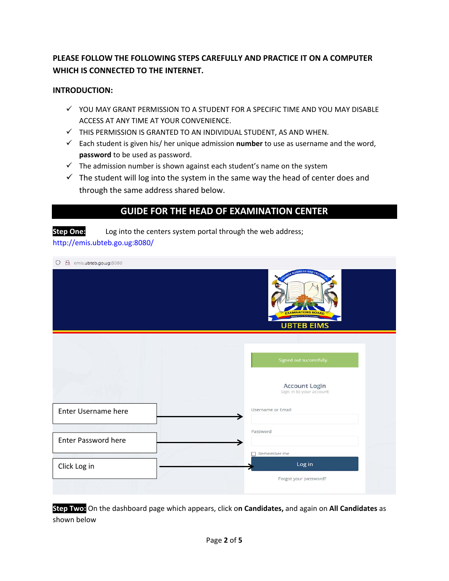### **PLEASE FOLLOW THE FOLLOWING STEPS CAREFULLY AND PRACTICE IT ON A COMPUTER WHICH IS CONNECTED TO THE INTERNET.**

#### **INTRODUCTION:**

- $\checkmark$  YOU MAY GRANT PERMISSION TO A STUDENT FOR A SPECIFIC TIME AND YOU MAY DISABLE ACCESS AT ANY TIME AT YOUR CONVENIENCE.
- $\checkmark$  THIS PERMISSION IS GRANTED TO AN INDIVIDUAL STUDENT, AS AND WHEN.
- Each student is given his/ her unique admission **number** to use as username and the word, **password** to be used as password.
- $\checkmark$  The admission number is shown against each student's name on the system
- $\checkmark$  The student will log into the system in the same way the head of center does and through the same address shared below.

### **GUIDE FOR THE HEAD OF EXAMINATION CENTER**

**Step One:** Log into the centers system portal through the web address; http://emis.ubteb.go.ug:8080/

| emis.ubteb.go.ug:8080<br>$\circ$ |                                                 |
|----------------------------------|-------------------------------------------------|
|                                  | <b>BUSINESS AND TEC</b><br><b>UBTEB EIMS</b>    |
|                                  |                                                 |
|                                  | Signed out successfully.                        |
|                                  | <b>Account Login</b><br>Sign In to your account |
| Enter Username here              | Username or Email                               |
| Enter Password here              | Password                                        |
|                                  |                                                 |
| Click Log in                     | Remember me<br>Log in                           |
|                                  | Forgot your password?                           |

**Step Two:** On the dashboard page which appears, click o**n Candidates,** and again on **All Candidates** as shown below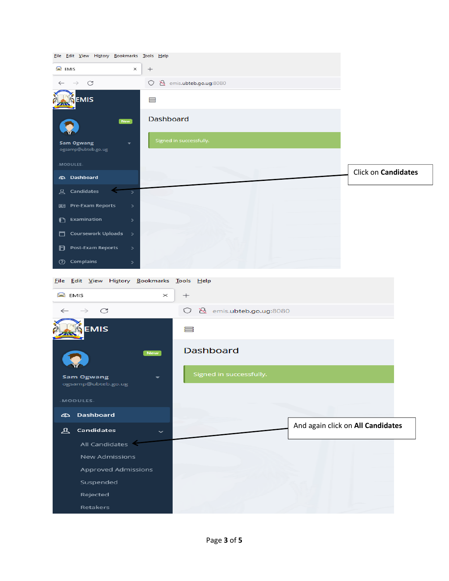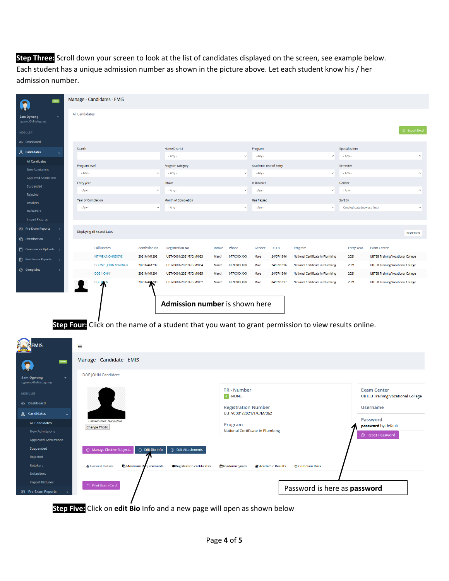**Step Three:** Scroll down your screen to look at the list of candidates displayed on the screen, see example below. Each student has a unique admission number as shown in the picture above. Let each student know his / her admission number.

| <b>New</b>                                                             |                                         | Manage - Candidates - EMIS                                                                         |                                               |                                                                |        |                                                       |                                                    |                  |                                  |                                 |                                                                |                       |
|------------------------------------------------------------------------|-----------------------------------------|----------------------------------------------------------------------------------------------------|-----------------------------------------------|----------------------------------------------------------------|--------|-------------------------------------------------------|----------------------------------------------------|------------------|----------------------------------|---------------------------------|----------------------------------------------------------------|-----------------------|
| <b>Sam Ogwang</b><br>ogsamp@ubteb.go.ug                                |                                         | <b>All Candidates</b>                                                                              |                                               |                                                                |        |                                                       |                                                    |                  |                                  |                                 |                                                                |                       |
| MODULES-                                                               |                                         |                                                                                                    |                                               |                                                                |        |                                                       |                                                    |                  |                                  |                                 |                                                                | <b>個 Export Excel</b> |
| <b>42 Dashboard</b>                                                    |                                         |                                                                                                    |                                               |                                                                |        |                                                       |                                                    |                  |                                  |                                 |                                                                |                       |
| <u>&amp;</u> Candidates                                                | Search                                  |                                                                                                    |                                               | <b>Home District</b>                                           |        | Program                                               |                                                    |                  | Specialization                   |                                 |                                                                |                       |
| All Candidates                                                         |                                         |                                                                                                    |                                               | - Any -                                                        |        | $\checkmark$                                          | - Any -                                            |                  | $\checkmark$                     | - Any -<br>$\checkmark$         |                                                                |                       |
| <b>New Admissions</b>                                                  | Program level<br>- Any -                |                                                                                                    |                                               | Program category<br>- Any -<br>$\checkmark$                    |        |                                                       | Academic Year of Entry<br>$-Any -$<br>$\checkmark$ |                  |                                  | Semester<br>- Any -             |                                                                |                       |
| Approved Admissions                                                    |                                         | Entry year                                                                                         |                                               | Intake                                                         |        |                                                       | <b>Is Disabled</b>                                 |                  |                                  | Gender                          |                                                                |                       |
| Suspended                                                              |                                         | - Any -                                                                                            | - Any -<br>$\checkmark$                       |                                                                |        | - Any -<br>$\checkmark$                               |                                                    |                  | - Any -                          |                                 | $\checkmark$                                                   |                       |
| Rejected                                                               |                                         | Year of Completion                                                                                 | Month of Completion                           |                                                                |        | <b>Has Passed</b>                                     |                                                    |                  | Sort by                          |                                 |                                                                |                       |
| Retakers                                                               |                                         | - Any -                                                                                            | $\checkmark$                                  | - Any -                                                        |        | $\checkmark$                                          | - Any -                                            |                  | $\checkmark$                     | Created date (newest first)     |                                                                | $\checkmark$          |
| Defaulters<br><b>Import Pictures</b>                                   |                                         |                                                                                                    |                                               |                                                                |        |                                                       |                                                    |                  |                                  |                                 |                                                                |                       |
| <b>DE Pre-Exam Reports</b>                                             |                                         |                                                                                                    |                                               |                                                                |        |                                                       |                                                    |                  |                                  |                                 |                                                                |                       |
|                                                                        |                                         | Displaying all 4 candidates                                                                        |                                               |                                                                |        |                                                       |                                                    |                  |                                  |                                 |                                                                | <b>Reset filters</b>  |
| <b>C</b> Examination                                                   |                                         | <b>Full Names</b>                                                                                  | <b>Admission No</b>                           | <b>Registration No</b>                                         | Intake | Phone                                                 | Gender                                             | D.O.B            | Program                          | <b>Entry Year</b>               | <b>Exam Center</b>                                             |                       |
| Coursework Uploads                                                     |                                         | <b>KITIWEKS JOHNDOVE</b>                                                                           | 2021M461293                                   | UBTV0001/2021/T/C/M/063                                        | March  | 077X XXX XXX                                          | Male                                               | 24/07/1996       | National Certificate in Plumbing | 2021                            | <b>UBTEB Training Vocational College</b>                       |                       |
| <b>D</b> Post-Exam Reports                                             |                                         | <b>DOEWES JOHN MWANGA</b>                                                                          | 2021M461292                                   | UBTV0001/2021/T/C/M/064                                        | March  | 077X XXX XXX                                          | Male                                               | 24/07/1996       | National Certificate in Plumbing | 2021                            | <b>UBTEB Training Vocational College</b>                       |                       |
| ② Complains                                                            |                                         | DOE1 JOHN1                                                                                         | 2021M461291                                   | UBTV0001/2021/T/C/M/065                                        | March  | 077X XXX XXX                                          | Male                                               | 24/07/1996       | National Certificate in Plumbing | 2021                            | <b>UBTEB Training Vocational College</b>                       |                       |
|                                                                        |                                         | <b>DOE JOHN</b>                                                                                    | 2021M461289                                   | UBTV0001/2021/T/C/M/062                                        | March  | 077X XXX XXX                                          | Male                                               | 04/02/1997       | National Certificate in Plumbing | 2021                            | <b>UBTEB Training Vocational College</b>                       |                       |
|                                                                        |                                         | Step Four Click on the name of a student that you want to grant permission to view results online. |                                               | Admission number is shown here                                 |        |                                                       |                                                    |                  |                                  |                                 |                                                                |                       |
| EMIS                                                                   | 昌                                       |                                                                                                    |                                               |                                                                |        |                                                       |                                                    |                  |                                  |                                 |                                                                |                       |
| New                                                                    |                                         | Manage - Candidate - EMIS                                                                          |                                               |                                                                |        |                                                       |                                                    |                  |                                  |                                 |                                                                |                       |
| <b>Sam Ogwang</b><br>ogsamp@ubteb.go.ug                                |                                         | <b>DOE JOHN Candidate</b>                                                                          |                                               |                                                                |        |                                                       |                                                    |                  |                                  |                                 |                                                                |                       |
| -MODULES-                                                              |                                         |                                                                                                    |                                               |                                                                |        | <b>TR - Number</b><br>$\boxed{0}$ -NONE-              |                                                    |                  |                                  |                                 | <b>Exam Center</b><br><b>UBTEB Training Vocational College</b> |                       |
| © Dashboard<br><u>人</u> Candidates                                     |                                         |                                                                                                    |                                               |                                                                |        | <b>Registration Number</b><br>UBTV0001/2021/T/C/M/062 |                                                    |                  |                                  | <b>Username</b>                 |                                                                |                       |
| <b>All Candidates</b><br>New Admissions                                | UBTV0001/2021/T/C/M/062<br>Change Photo |                                                                                                    |                                               |                                                                |        | Program<br>National Certificate in Plumbing           |                                                    |                  |                                  | Password<br>password by default |                                                                |                       |
| Approved Admissions<br>Suspended<br>Rejected<br>Retakers<br>Defaulters |                                         | A Manage Elective Subjects<br>& General Details                                                    | $\odot$ Edit Bio Info<br>Minimum Requirements | $\oplus$ Edit Attachments<br><b>ORegistration certificates</b> |        | MAcademic years                                       |                                                    | Academic Results | <b><sup></sup></b> Complain Desk |                                 | <b>B</b> Reset Password                                        |                       |
| <b>Import Pictures</b><br><b>REI</b> Pre-Exam Reports                  |                                         | Print Exam Card                                                                                    |                                               |                                                                |        |                                                       |                                                    |                  | Password is here as password     |                                 |                                                                |                       |

**Step Five:** Click on **edit Bio** Info and a new page will open as shown below